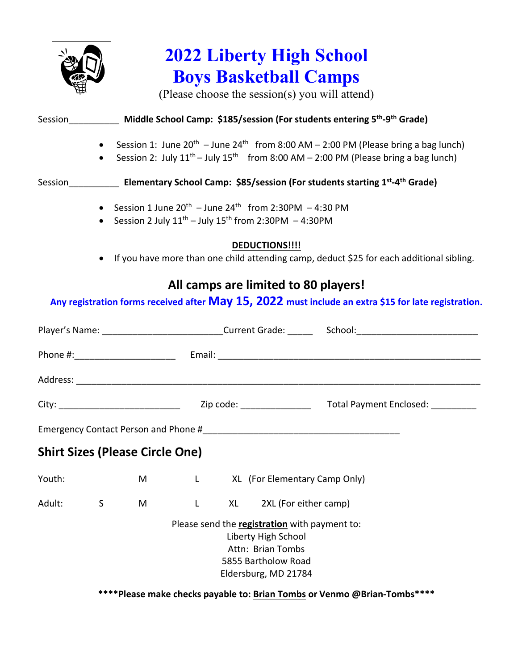

## **2022 Liberty High School Boys Basketball Camps**

(Please choose the session(s) you will attend)

|                                                                                                                                                  |                        | Session______________ Middle School Camp: \$185/session (For students entering 5 <sup>th</sup> -9 <sup>th</sup> Grade) |   |                                                                                                      |                                                                                                                                          |  |                                                                                                                                                                                              |  |  |  |
|--------------------------------------------------------------------------------------------------------------------------------------------------|------------------------|------------------------------------------------------------------------------------------------------------------------|---|------------------------------------------------------------------------------------------------------|------------------------------------------------------------------------------------------------------------------------------------------|--|----------------------------------------------------------------------------------------------------------------------------------------------------------------------------------------------|--|--|--|
|                                                                                                                                                  | $\bullet$<br>$\bullet$ |                                                                                                                        |   |                                                                                                      |                                                                                                                                          |  | Session 1: June $20^{th}$ – June $24^{th}$ from 8:00 AM – 2:00 PM (Please bring a bag lunch)<br>Session 2: July $11^{th}$ – July $15^{th}$ from 8:00 AM – 2:00 PM (Please bring a bag lunch) |  |  |  |
|                                                                                                                                                  |                        | Session <b>Elementary School Camp: \$85/session (For students starting 1st-4th Grade)</b>                              |   |                                                                                                      |                                                                                                                                          |  |                                                                                                                                                                                              |  |  |  |
| • Session 1 June $20^{th}$ – June $24^{th}$ from 2:30PM – 4:30 PM<br>Session 2 July $11^{th}$ – July $15^{th}$ from 2:30PM – 4:30PM<br>$\bullet$ |                        |                                                                                                                        |   |                                                                                                      |                                                                                                                                          |  |                                                                                                                                                                                              |  |  |  |
|                                                                                                                                                  | $\bullet$              |                                                                                                                        |   |                                                                                                      | DEDUCTIONS!!!!                                                                                                                           |  | If you have more than one child attending camp, deduct \$25 for each additional sibling.                                                                                                     |  |  |  |
|                                                                                                                                                  |                        |                                                                                                                        |   |                                                                                                      | All camps are limited to 80 players!                                                                                                     |  | Any registration forms received after May 15, 2022 must include an extra \$15 for late registration.                                                                                         |  |  |  |
|                                                                                                                                                  |                        |                                                                                                                        |   | Player's Name: ____________________________Current Grade: _______ School: __________________________ |                                                                                                                                          |  |                                                                                                                                                                                              |  |  |  |
|                                                                                                                                                  |                        |                                                                                                                        |   |                                                                                                      |                                                                                                                                          |  |                                                                                                                                                                                              |  |  |  |
|                                                                                                                                                  |                        |                                                                                                                        |   |                                                                                                      |                                                                                                                                          |  |                                                                                                                                                                                              |  |  |  |
|                                                                                                                                                  |                        |                                                                                                                        |   |                                                                                                      |                                                                                                                                          |  |                                                                                                                                                                                              |  |  |  |
|                                                                                                                                                  |                        |                                                                                                                        |   |                                                                                                      |                                                                                                                                          |  |                                                                                                                                                                                              |  |  |  |
|                                                                                                                                                  |                        | <b>Shirt Sizes (Please Circle One)</b>                                                                                 |   |                                                                                                      |                                                                                                                                          |  |                                                                                                                                                                                              |  |  |  |
| Youth:                                                                                                                                           |                        | M                                                                                                                      |   |                                                                                                      | L XL (For Elementary Camp Only)                                                                                                          |  |                                                                                                                                                                                              |  |  |  |
| Adult:                                                                                                                                           | S                      | M                                                                                                                      | L | XL                                                                                                   | 2XL (For either camp)                                                                                                                    |  |                                                                                                                                                                                              |  |  |  |
|                                                                                                                                                  |                        |                                                                                                                        |   |                                                                                                      | Please send the registration with payment to:<br>Liberty High School<br>Attn: Brian Tombs<br>5855 Bartholow Road<br>Eldersburg, MD 21784 |  |                                                                                                                                                                                              |  |  |  |

**\*\*\*\*Please make checks payable to: Brian Tombs or Venmo @Brian-Tombs\*\*\*\***